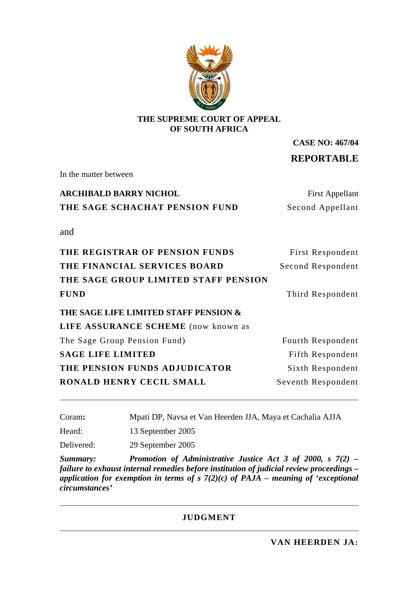

#### **THE SUPREME COURT OF APPEAL OF SOUTH AFRICA**

**CASE NO: 467/04 REPORTABLE**

In the matter between

# **ARCHIBALD BARRY NICHOL** First Appellant **THE SAGE SCHACHAT PENSION FUND** Second Appellant

and

| THE REGISTRAR OF PENSION FUNDS        | First Respondent   |
|---------------------------------------|--------------------|
| THE FINANCIAL SERVICES BOARD          | Second Respondent  |
| THE SAGE GROUP LIMITED STAFF PENSION  |                    |
| <b>FUND</b>                           | Third Respondent   |
| THE SAGE LIFE LIMITED STAFF PENSION & |                    |
| LIFE ASSURANCE SCHEME (now known as   |                    |
| The Sage Group Pension Fund)          | Fourth Respondent  |
| <b>SAGE LIFE LIMITED</b>              | Fifth Respondent   |
| THE PENSION FUNDS ADJUDICATOR         | Sixth Respondent   |
| RONALD HENRY CECIL SMALL              | Seventh Respondent |
|                                       |                    |

| Coram: |  | Mpati DP, Navsa et Van Heerden JJA, Maya et Cachalia AJJA |  |  |
|--------|--|-----------------------------------------------------------|--|--|

Heard: 13 September 2005

Delivered: 29 September 2005

*Summary: Promotion of Administrative Justice Act 3 of 2000, s 7(2) – failure to exhaust internal remedies before institution of judicial review proceedings – application for exemption in terms of s 7(2)(c) of PAJA – meaning of 'exceptional circumstances'* 

#### **JUDGMENT**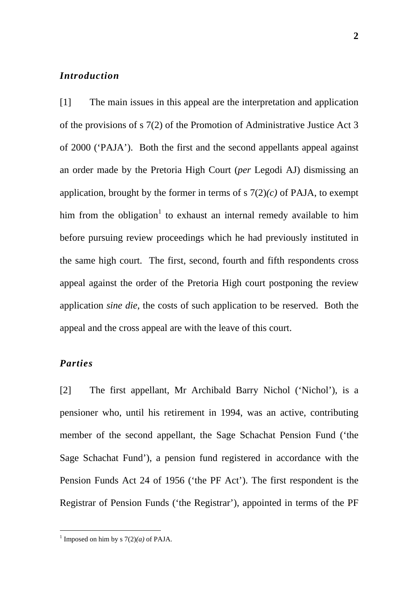# *Introduction*

[1] The main issues in this appeal are the interpretation and application of the provisions of s 7(2) of the Promotion of Administrative Justice Act 3 of 2000 ('PAJA'). Both the first and the second appellants appeal against an order made by the Pretoria High Court (*per* Legodi AJ) dismissing an application, brought by the former in terms of  $s \, 7(2)(c)$  of PAJA, to exempt him from the obligation<sup>1</sup> to exhaust an internal remedy available to him before pursuing review proceedings which he had previously instituted in the same high court. The first, second, fourth and fifth respondents cross appeal against the order of the Pretoria High court postponing the review application *sine die*, the costs of such application to be reserved. Both the appeal and the cross appeal are with the leave of this court.

# *Parties*

[2] The first appellant, Mr Archibald Barry Nichol ('Nichol'), is a pensioner who, until his retirement in 1994, was an active, contributing member of the second appellant, the Sage Schachat Pension Fund ('the Sage Schachat Fund'), a pension fund registered in accordance with the Pension Funds Act 24 of 1956 ('the PF Act'). The first respondent is the Registrar of Pension Funds ('the Registrar'), appointed in terms of the PF

**2**

 $\frac{1}{1}$ <sup>1</sup> Imposed on him by s  $7(2)(a)$  of PAJA.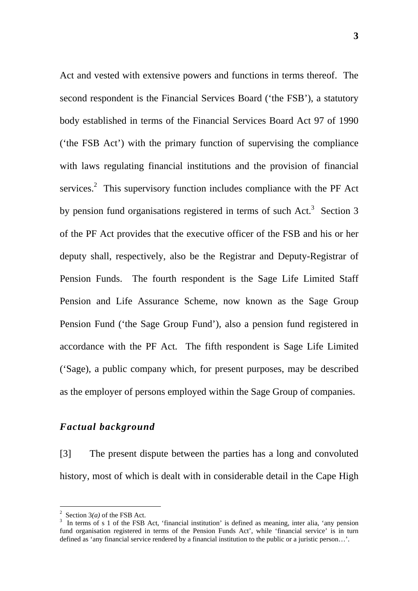Act and vested with extensive powers and functions in terms thereof. The second respondent is the Financial Services Board ('the FSB'), a statutory body established in terms of the Financial Services Board Act 97 of 1990 ('the FSB Act') with the primary function of supervising the compliance with laws regulating financial institutions and the provision of financial services.<sup>2</sup> This supervisory function includes compliance with the PF Act by pension fund organisations registered in terms of such Act.<sup>3</sup> Section 3 of the PF Act provides that the executive officer of the FSB and his or her deputy shall, respectively, also be the Registrar and Deputy-Registrar of Pension Funds. The fourth respondent is the Sage Life Limited Staff Pension and Life Assurance Scheme, now known as the Sage Group Pension Fund ('the Sage Group Fund'), also a pension fund registered in accordance with the PF Act. The fifth respondent is Sage Life Limited ('Sage), a public company which, for present purposes, may be described as the employer of persons employed within the Sage Group of companies.

## *Factual background*

[3] The present dispute between the parties has a long and convoluted history, most of which is dealt with in considerable detail in the Cape High

 $\frac{1}{2}$ <sup>2</sup> Section  $3(a)$  of the FSB Act.

<sup>&</sup>lt;sup>3</sup> In terms of s 1 of the FSB Act, 'financial institution' is defined as meaning, inter alia, 'any pension fund organisation registered in terms of the Pension Funds Act', while 'financial service' is in turn defined as 'any financial service rendered by a financial institution to the public or a juristic person…'.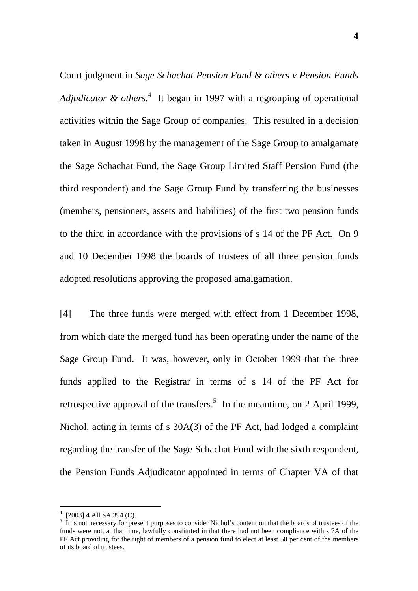Court judgment in *Sage Schachat Pension Fund & others v Pension Funds*  Adjudicator & others.<sup>4</sup> It began in 1997 with a regrouping of operational activities within the Sage Group of companies. This resulted in a decision taken in August 1998 by the management of the Sage Group to amalgamate the Sage Schachat Fund, the Sage Group Limited Staff Pension Fund (the third respondent) and the Sage Group Fund by transferring the businesses (members, pensioners, assets and liabilities) of the first two pension funds to the third in accordance with the provisions of s 14 of the PF Act. On 9 and 10 December 1998 the boards of trustees of all three pension funds adopted resolutions approving the proposed amalgamation.

[4] The three funds were merged with effect from 1 December 1998, from which date the merged fund has been operating under the name of the Sage Group Fund. It was, however, only in October 1999 that the three funds applied to the Registrar in terms of s 14 of the PF Act for retrospective approval of the transfers.<sup>5</sup> In the meantime, on 2 April 1999, Nichol, acting in terms of s 30A(3) of the PF Act, had lodged a complaint regarding the transfer of the Sage Schachat Fund with the sixth respondent, the Pension Funds Adjudicator appointed in terms of Chapter VA of that

 $\frac{1}{4}$  $(2003]$  4 All SA 394 (C).

<sup>&</sup>lt;sup>5</sup> It is not necessary for present purposes to consider Nichol's contention that the boards of trustees of the funds were not, at that time, lawfully constituted in that there had not been compliance with s 7A of the PF Act providing for the right of members of a pension fund to elect at least 50 per cent of the members of its board of trustees.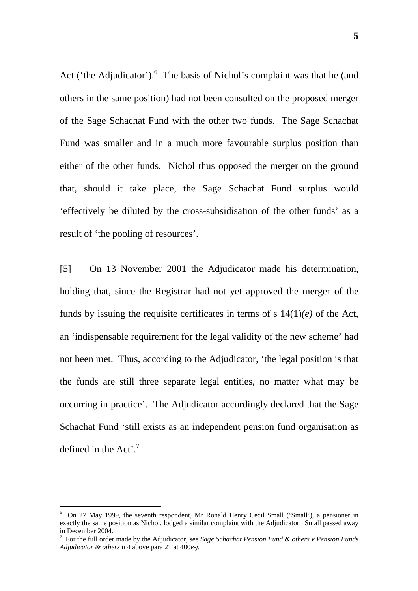Act ('the Adjudicator'). $6$  The basis of Nichol's complaint was that he (and others in the same position) had not been consulted on the proposed merger of the Sage Schachat Fund with the other two funds. The Sage Schachat Fund was smaller and in a much more favourable surplus position than either of the other funds. Nichol thus opposed the merger on the ground that, should it take place, the Sage Schachat Fund surplus would 'effectively be diluted by the cross-subsidisation of the other funds' as a result of 'the pooling of resources'.

[5] On 13 November 2001 the Adjudicator made his determination, holding that, since the Registrar had not yet approved the merger of the funds by issuing the requisite certificates in terms of s 14(1)*(e)* of the Act, an 'indispensable requirement for the legal validity of the new scheme' had not been met. Thus, according to the Adjudicator, 'the legal position is that the funds are still three separate legal entities, no matter what may be occurring in practice'. The Adjudicator accordingly declared that the Sage Schachat Fund 'still exists as an independent pension fund organisation as defined in the Act'.<sup>7</sup>

 $\frac{1}{6}$  $6$  On 27 May 1999, the seventh respondent, Mr Ronald Henry Cecil Small ('Small'), a pensioner in exactly the same position as Nichol, lodged a similar complaint with the Adjudicator. Small passed away in December 2004.

For the full order made by the Adjudicator, see *Sage Schachat Pension Fund & others v Pension Funds Adjudicator & others* n 4 above para 21 at 400*e-j.*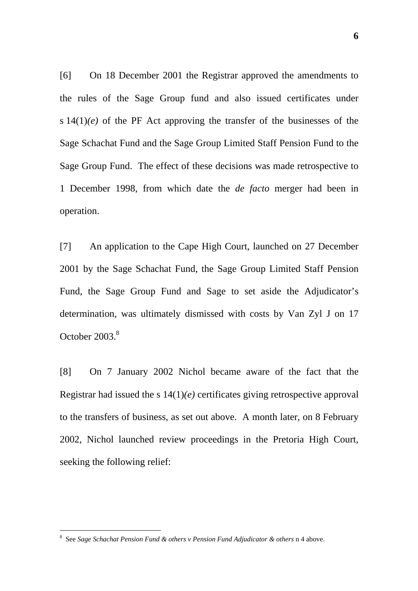[6] On 18 December 2001 the Registrar approved the amendments to the rules of the Sage Group fund and also issued certificates under s  $14(1)(e)$  of the PF Act approving the transfer of the businesses of the Sage Schachat Fund and the Sage Group Limited Staff Pension Fund to the Sage Group Fund. The effect of these decisions was made retrospective to 1 December 1998, from which date the *de facto* merger had been in operation.

[7] An application to the Cape High Court, launched on 27 December 2001 by the Sage Schachat Fund, the Sage Group Limited Staff Pension Fund, the Sage Group Fund and Sage to set aside the Adjudicator's determination, was ultimately dismissed with costs by Van Zyl J on 17 October 2003.<sup>8</sup>

[8] On 7 January 2002 Nichol became aware of the fact that the Registrar had issued the s 14(1)*(e)* certificates giving retrospective approval to the transfers of business, as set out above. A month later, on 8 February 2002, Nichol launched review proceedings in the Pretoria High Court, seeking the following relief:

 $\frac{1}{8}$ See *Sage Schachat Pension Fund & others v Pension Fund Adjudicator & others* n 4 above.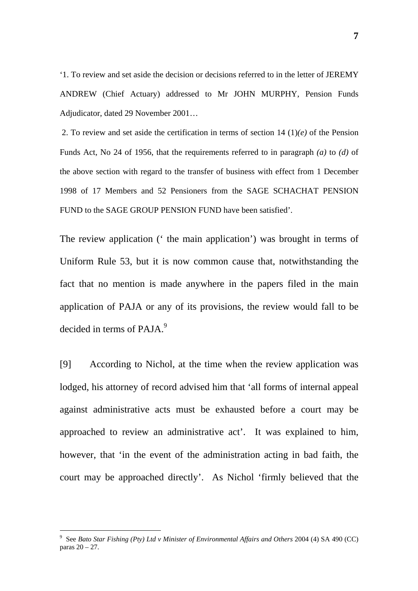'1. To review and set aside the decision or decisions referred to in the letter of JEREMY ANDREW (Chief Actuary) addressed to Mr JOHN MURPHY, Pension Funds Adjudicator, dated 29 November 2001…

2. To review and set aside the certification in terms of section 14 (1)*(e)* of the Pension Funds Act, No 24 of 1956, that the requirements referred to in paragraph *(a)* to *(d)* of the above section with regard to the transfer of business with effect from 1 December 1998 of 17 Members and 52 Pensioners from the SAGE SCHACHAT PENSION FUND to the SAGE GROUP PENSION FUND have been satisfied'.

The review application (' the main application') was brought in terms of Uniform Rule 53, but it is now common cause that, notwithstanding the fact that no mention is made anywhere in the papers filed in the main application of PAJA or any of its provisions, the review would fall to be decided in terms of PAJA.<sup>9</sup>

[9] According to Nichol, at the time when the review application was lodged, his attorney of record advised him that 'all forms of internal appeal against administrative acts must be exhausted before a court may be approached to review an administrative act'. It was explained to him, however, that 'in the event of the administration acting in bad faith, the court may be approached directly'. As Nichol 'firmly believed that the

<sup>-&</sup>lt;br>9 See *Bato Star Fishing (Pty) Ltd v Minister of Environmental Affairs and Others* 2004 (4) SA 490 (CC) paras 20 – 27.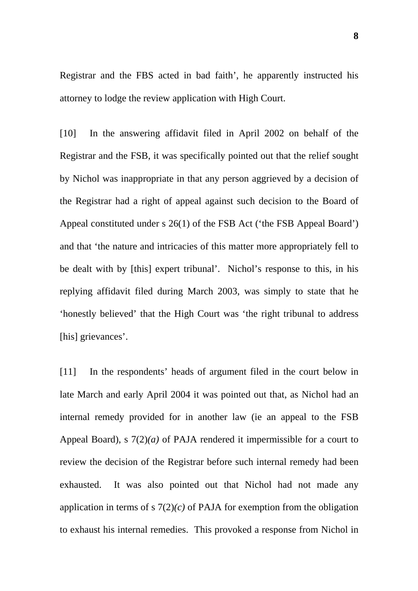Registrar and the FBS acted in bad faith', he apparently instructed his attorney to lodge the review application with High Court.

[10] In the answering affidavit filed in April 2002 on behalf of the Registrar and the FSB, it was specifically pointed out that the relief sought by Nichol was inappropriate in that any person aggrieved by a decision of the Registrar had a right of appeal against such decision to the Board of Appeal constituted under s 26(1) of the FSB Act ('the FSB Appeal Board') and that 'the nature and intricacies of this matter more appropriately fell to be dealt with by [this] expert tribunal'. Nichol's response to this, in his replying affidavit filed during March 2003, was simply to state that he 'honestly believed' that the High Court was 'the right tribunal to address [his] grievances'.

[11] In the respondents' heads of argument filed in the court below in late March and early April 2004 it was pointed out that, as Nichol had an internal remedy provided for in another law (ie an appeal to the FSB Appeal Board), s 7(2)*(a)* of PAJA rendered it impermissible for a court to review the decision of the Registrar before such internal remedy had been exhausted. It was also pointed out that Nichol had not made any application in terms of s  $7(2)(c)$  of PAJA for exemption from the obligation to exhaust his internal remedies. This provoked a response from Nichol in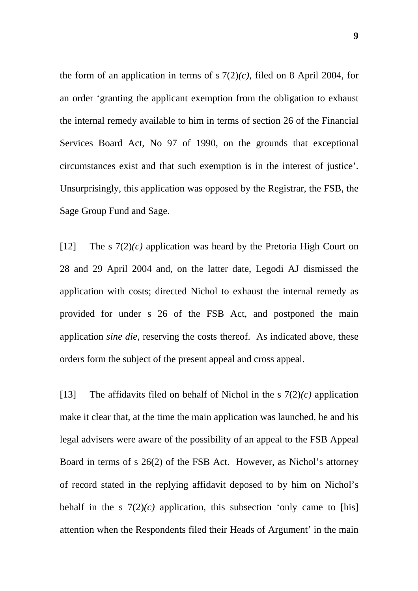the form of an application in terms of  $s \, 7(2)(c)$ , filed on 8 April 2004, for an order 'granting the applicant exemption from the obligation to exhaust the internal remedy available to him in terms of section 26 of the Financial Services Board Act, No 97 of 1990, on the grounds that exceptional circumstances exist and that such exemption is in the interest of justice'. Unsurprisingly, this application was opposed by the Registrar, the FSB, the Sage Group Fund and Sage.

[12] The s 7(2)*(c)* application was heard by the Pretoria High Court on 28 and 29 April 2004 and, on the latter date, Legodi AJ dismissed the application with costs; directed Nichol to exhaust the internal remedy as provided for under s 26 of the FSB Act, and postponed the main application *sine die,* reserving the costs thereof. As indicated above, these orders form the subject of the present appeal and cross appeal.

[13] The affidavits filed on behalf of Nichol in the s  $7(2)(c)$  application make it clear that, at the time the main application was launched, he and his legal advisers were aware of the possibility of an appeal to the FSB Appeal Board in terms of s 26(2) of the FSB Act. However, as Nichol's attorney of record stated in the replying affidavit deposed to by him on Nichol's behalf in the s  $7(2)(c)$  application, this subsection 'only came to [his] attention when the Respondents filed their Heads of Argument' in the main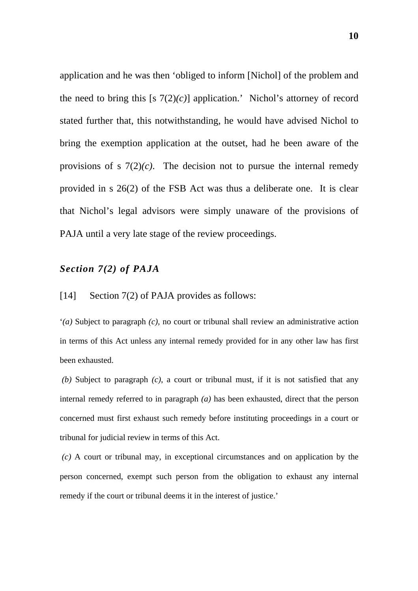application and he was then 'obliged to inform [Nichol] of the problem and the need to bring this  $[s \ 7(2)(c)]$  application.' Nichol's attorney of record stated further that, this notwithstanding, he would have advised Nichol to bring the exemption application at the outset, had he been aware of the provisions of s  $7(2)(c)$ . The decision not to pursue the internal remedy provided in s 26(2) of the FSB Act was thus a deliberate one. It is clear that Nichol's legal advisors were simply unaware of the provisions of PAJA until a very late stage of the review proceedings.

#### *Section 7(2) of PAJA*

[14] Section 7(2) of PAJA provides as follows:

'*(a)* Subject to paragraph *(c),* no court or tribunal shall review an administrative action in terms of this Act unless any internal remedy provided for in any other law has first been exhausted.

 *(b)* Subject to paragraph *(c)*, a court or tribunal must, if it is not satisfied that any internal remedy referred to in paragraph *(a)* has been exhausted, direct that the person concerned must first exhaust such remedy before instituting proceedings in a court or tribunal for judicial review in terms of this Act.

 *(c)* A court or tribunal may, in exceptional circumstances and on application by the person concerned, exempt such person from the obligation to exhaust any internal remedy if the court or tribunal deems it in the interest of justice.'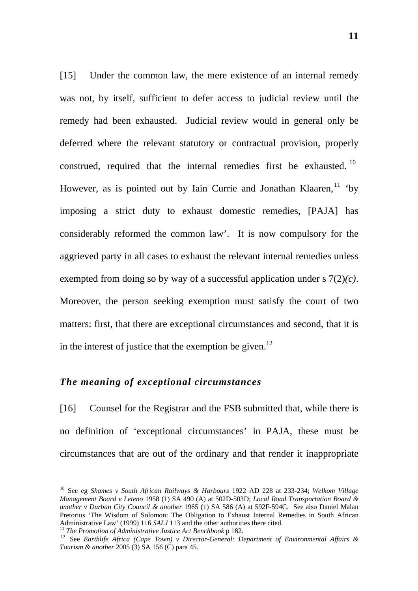[15] Under the common law, the mere existence of an internal remedy was not, by itself, sufficient to defer access to judicial review until the remedy had been exhausted. Judicial review would in general only be deferred where the relevant statutory or contractual provision, properly construed, required that the internal remedies first be exhausted.<sup>10</sup> However, as is pointed out by Iain Currie and Jonathan Klaaren,  $\frac{11}{10}$  'by imposing a strict duty to exhaust domestic remedies, [PAJA] has considerably reformed the common law'. It is now compulsory for the aggrieved party in all cases to exhaust the relevant internal remedies unless exempted from doing so by way of a successful application under s 7(2)*(c)*. Moreover, the person seeking exemption must satisfy the court of two matters: first, that there are exceptional circumstances and second, that it is in the interest of justice that the exemption be given.<sup>12</sup>

#### *The meaning of exceptional circumstances*

[16] Counsel for the Registrar and the FSB submitted that, while there is no definition of 'exceptional circumstances' in PAJA, these must be circumstances that are out of the ordinary and that render it inappropriate

 <sup>10</sup> See eg *Shames v South African Railways & Harbours* 1922 AD 228 at 233-234; *Welkom Village Management Board v Leteno* 1958 (1) SA 490 (A) at 502D-503D; *Local Road Transportation Board & another v Durban City Council & another* 1965 (1) SA 586 (A) at 592F-594C. See also Daniel Malan Pretorius 'The Wisdom of Solomon: The Obligation to Exhaust Internal Remedies in South African Administrative Law' (1999) 116 SALJ 113 and the other authorities there cited.

<sup>&</sup>lt;sup>11</sup> The Promotion of Administrative Justice Act Benchbook p 182.<br><sup>12</sup> See Earthlife Africa (Cape Town) v Director-General: Department of Environmental Affairs & *Tourism & another* 2005 (3) SA 156 (C) para 45.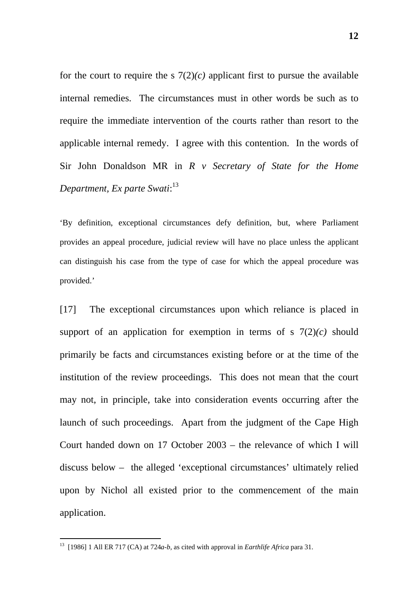for the court to require the s  $7(2)(c)$  applicant first to pursue the available internal remedies. The circumstances must in other words be such as to require the immediate intervention of the courts rather than resort to the applicable internal remedy. I agree with this contention. In the words of Sir John Donaldson MR in *R v Secretary of State for the Home Department, Ex parte Swati*: 13

'By definition, exceptional circumstances defy definition, but, where Parliament provides an appeal procedure, judicial review will have no place unless the applicant can distinguish his case from the type of case for which the appeal procedure was provided.'

[17] The exceptional circumstances upon which reliance is placed in support of an application for exemption in terms of s  $7(2)(c)$  should primarily be facts and circumstances existing before or at the time of the institution of the review proceedings. This does not mean that the court may not, in principle, take into consideration events occurring after the launch of such proceedings. Apart from the judgment of the Cape High Court handed down on 17 October 2003 – the relevance of which I will discuss below – the alleged 'exceptional circumstances' ultimately relied upon by Nichol all existed prior to the commencement of the main application.

 <sup>13 [1986] 1</sup> All ER 717 (CA) at 724*a-b*, as cited with approval in *Earthlife Africa* para 31.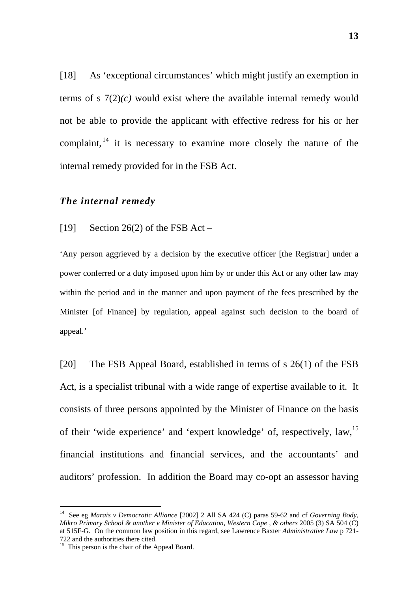[18] As 'exceptional circumstances' which might justify an exemption in terms of s  $7(2)(c)$  would exist where the available internal remedy would not be able to provide the applicant with effective redress for his or her complaint,  $14$  it is necessary to examine more closely the nature of the internal remedy provided for in the FSB Act.

#### *The internal remedy*

[19] Section 26(2) of the FSB Act –

'Any person aggrieved by a decision by the executive officer [the Registrar] under a power conferred or a duty imposed upon him by or under this Act or any other law may within the period and in the manner and upon payment of the fees prescribed by the Minister [of Finance] by regulation, appeal against such decision to the board of appeal.'

[20] The FSB Appeal Board, established in terms of s 26(1) of the FSB Act, is a specialist tribunal with a wide range of expertise available to it. It consists of three persons appointed by the Minister of Finance on the basis of their 'wide experience' and 'expert knowledge' of, respectively, law,<sup>15</sup> financial institutions and financial services, and the accountants' and auditors' profession. In addition the Board may co-opt an assessor having

 <sup>14</sup> See eg *Marais v Democratic Alliance* [2002] 2 All SA 424 (C) paras 59-62 and cf *Governing Body, Mikro Primary School & another v Minister of Education, Western Cape , & others* 2005 (3) SA 504 (C) at 515F-G. On the common law position in this regard, see Lawrence Baxter *Administrative Law* p 721- 722 and the authorities there cited.<br><sup>15</sup> This person is the chair of the Appeal Board.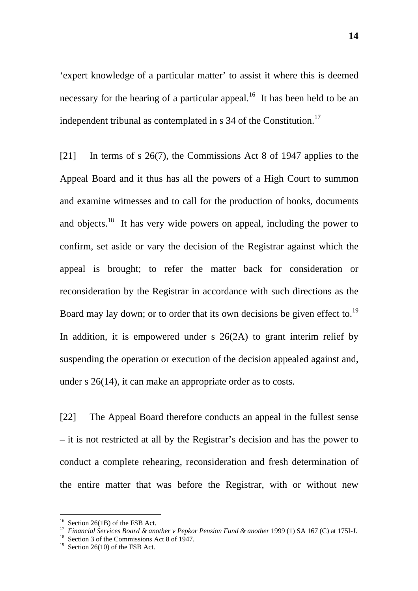'expert knowledge of a particular matter' to assist it where this is deemed necessary for the hearing of a particular appeal.<sup>16</sup> It has been held to be an independent tribunal as contemplated in s  $34$  of the Constitution.<sup>17</sup>

[21] In terms of s 26(7), the Commissions Act 8 of 1947 applies to the Appeal Board and it thus has all the powers of a High Court to summon and examine witnesses and to call for the production of books, documents and objects.<sup>18</sup> It has very wide powers on appeal, including the power to confirm, set aside or vary the decision of the Registrar against which the appeal is brought; to refer the matter back for consideration or reconsideration by the Registrar in accordance with such directions as the Board may lay down; or to order that its own decisions be given effect to.<sup>19</sup> In addition, it is empowered under s  $26(2A)$  to grant interim relief by suspending the operation or execution of the decision appealed against and, under s 26(14), it can make an appropriate order as to costs.

[22] The Appeal Board therefore conducts an appeal in the fullest sense – it is not restricted at all by the Registrar's decision and has the power to conduct a complete rehearing, reconsideration and fresh determination of the entire matter that was before the Registrar, with or without new

<sup>&</sup>lt;sup>16</sup> Section 26(1B) of the FSB Act.<br><sup>17</sup> Financial Services Board & another v Pepkor Pension Fund & another 1999 (1) SA 167 (C) at 175I-J.<br><sup>18</sup> Section 3 of the Commissions Act 8 of 1947.<br><sup>19</sup> Section 26(10) of the FSB Ac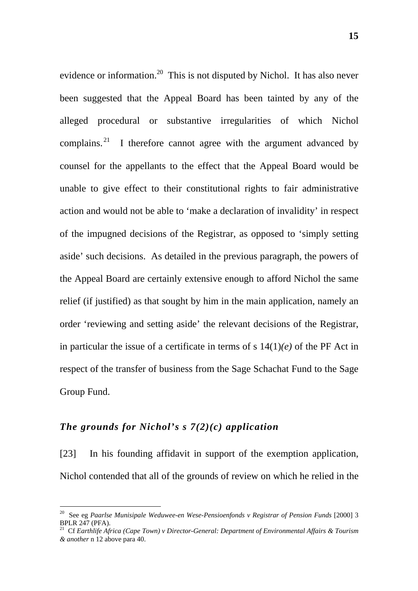evidence or information.<sup>20</sup> This is not disputed by Nichol. It has also never been suggested that the Appeal Board has been tainted by any of the alleged procedural or substantive irregularities of which Nichol complains.  $2^1$  I therefore cannot agree with the argument advanced by counsel for the appellants to the effect that the Appeal Board would be unable to give effect to their constitutional rights to fair administrative action and would not be able to 'make a declaration of invalidity' in respect of the impugned decisions of the Registrar, as opposed to 'simply setting aside' such decisions. As detailed in the previous paragraph, the powers of the Appeal Board are certainly extensive enough to afford Nichol the same relief (if justified) as that sought by him in the main application, namely an order 'reviewing and setting aside' the relevant decisions of the Registrar, in particular the issue of a certificate in terms of s  $14(1)(e)$  of the PF Act in respect of the transfer of business from the Sage Schachat Fund to the Sage Group Fund.

## *The grounds for Nichol's s 7(2)(c) application*

[23] In his founding affidavit in support of the exemption application, Nichol contended that all of the grounds of review on which he relied in the

 <sup>20</sup> See eg *Paarlse Munisipale Weduwee-en Wese-Pensioenfonds v Registrar of Pension Funds* [2000] 3 BPLR 247 (PFA).<br><sup>21</sup> Cf *Earthlife Africa (Cape Town) v Director-General: Department of <i>Environmental Affairs & Tourism* 

*<sup>&</sup>amp; another* n 12 above para 40.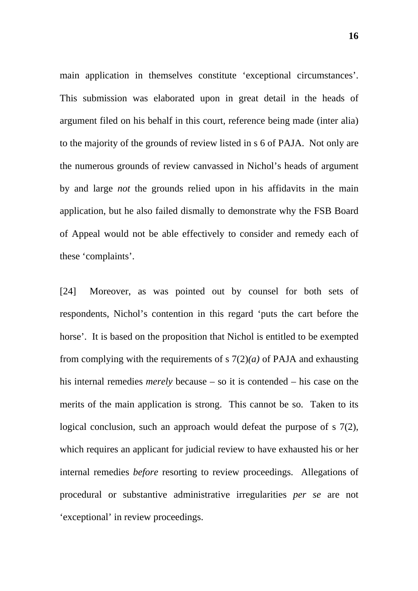main application in themselves constitute 'exceptional circumstances'. This submission was elaborated upon in great detail in the heads of argument filed on his behalf in this court, reference being made (inter alia) to the majority of the grounds of review listed in s 6 of PAJA. Not only are the numerous grounds of review canvassed in Nichol's heads of argument by and large *not* the grounds relied upon in his affidavits in the main application, but he also failed dismally to demonstrate why the FSB Board of Appeal would not be able effectively to consider and remedy each of these 'complaints'.

[24] Moreover, as was pointed out by counsel for both sets of respondents, Nichol's contention in this regard 'puts the cart before the horse'. It is based on the proposition that Nichol is entitled to be exempted from complying with the requirements of s 7(2)*(a)* of PAJA and exhausting his internal remedies *merely* because – so it is contended – his case on the merits of the main application is strong. This cannot be so. Taken to its logical conclusion, such an approach would defeat the purpose of s 7(2), which requires an applicant for judicial review to have exhausted his or her internal remedies *before* resorting to review proceedings. Allegations of procedural or substantive administrative irregularities *per se* are not 'exceptional' in review proceedings.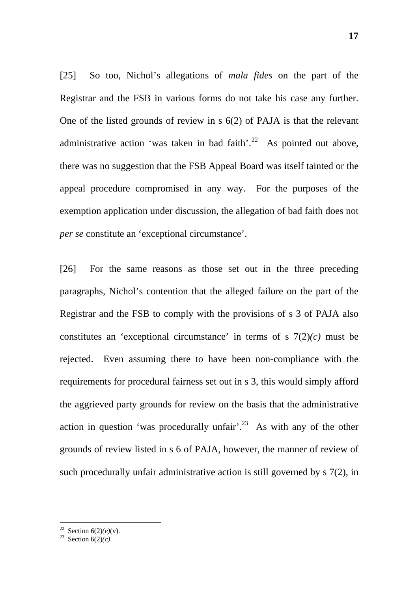[25] So too, Nichol's allegations of *mala fides* on the part of the Registrar and the FSB in various forms do not take his case any further. One of the listed grounds of review in s 6(2) of PAJA is that the relevant administrative action 'was taken in bad faith'.<sup>22</sup> As pointed out above, there was no suggestion that the FSB Appeal Board was itself tainted or the appeal procedure compromised in any way. For the purposes of the exemption application under discussion, the allegation of bad faith does not *per se* constitute an 'exceptional circumstance'.

[26] For the same reasons as those set out in the three preceding paragraphs, Nichol's contention that the alleged failure on the part of the Registrar and the FSB to comply with the provisions of s 3 of PAJA also constitutes an 'exceptional circumstance' in terms of s  $7(2)(c)$  must be rejected. Even assuming there to have been non-compliance with the requirements for procedural fairness set out in s 3, this would simply afford the aggrieved party grounds for review on the basis that the administrative action in question 'was procedurally unfair'.<sup>23</sup> As with any of the other grounds of review listed in s 6 of PAJA, however, the manner of review of such procedurally unfair administrative action is still governed by s 7(2), in

<sup>&</sup>lt;sup>22</sup> Section 6(2)(*e*)(*v*).<br><sup>23</sup> Section 6(2)(*c*).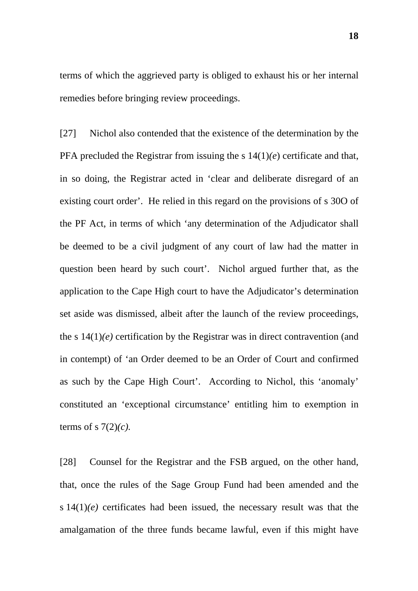terms of which the aggrieved party is obliged to exhaust his or her internal remedies before bringing review proceedings.

[27] Nichol also contended that the existence of the determination by the PFA precluded the Registrar from issuing the s 14(1)*(e*) certificate and that, in so doing, the Registrar acted in 'clear and deliberate disregard of an existing court order'. He relied in this regard on the provisions of s 30O of the PF Act, in terms of which 'any determination of the Adjudicator shall be deemed to be a civil judgment of any court of law had the matter in question been heard by such court'. Nichol argued further that, as the application to the Cape High court to have the Adjudicator's determination set aside was dismissed, albeit after the launch of the review proceedings, the s  $14(1)(e)$  certification by the Registrar was in direct contravention (and in contempt) of 'an Order deemed to be an Order of Court and confirmed as such by the Cape High Court'. According to Nichol, this 'anomaly' constituted an 'exceptional circumstance' entitling him to exemption in terms of s 7(2)*(c).*

[28] Counsel for the Registrar and the FSB argued, on the other hand, that, once the rules of the Sage Group Fund had been amended and the s  $14(1)(e)$  certificates had been issued, the necessary result was that the amalgamation of the three funds became lawful, even if this might have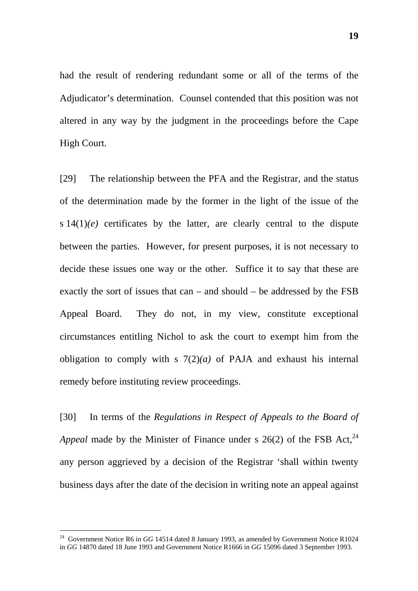had the result of rendering redundant some or all of the terms of the Adjudicator's determination. Counsel contended that this position was not altered in any way by the judgment in the proceedings before the Cape High Court.

[29] The relationship between the PFA and the Registrar, and the status of the determination made by the former in the light of the issue of the s  $14(1)(e)$  certificates by the latter, are clearly central to the dispute between the parties. However, for present purposes, it is not necessary to decide these issues one way or the other. Suffice it to say that these are exactly the sort of issues that can – and should – be addressed by the FSB Appeal Board. They do not, in my view, constitute exceptional circumstances entitling Nichol to ask the court to exempt him from the obligation to comply with s 7(2)*(a)* of PAJA and exhaust his internal remedy before instituting review proceedings.

[30] In terms of the *Regulations in Respect of Appeals to the Board of Appeal* made by the Minister of Finance under s  $26(2)$  of the FSB Act,  $^{24}$ any person aggrieved by a decision of the Registrar 'shall within twenty business days after the date of the decision in writing note an appeal against

<sup>&</sup>lt;sup>24</sup> Government Notice R6 in *GG* 14514 dated 8 January 1993, as amended by Government Notice R1024 in *GG* 14870 dated 18 June 1993 and Government Notice R1666 in *GG* 15096 dated 3 September 1993.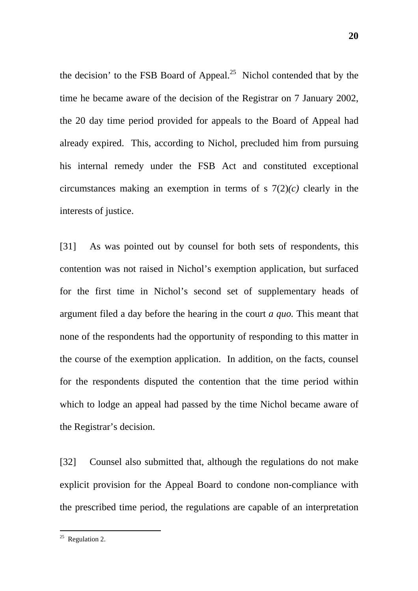the decision' to the FSB Board of Appeal.<sup>25</sup> Nichol contended that by the time he became aware of the decision of the Registrar on 7 January 2002, the 20 day time period provided for appeals to the Board of Appeal had already expired. This, according to Nichol, precluded him from pursuing his internal remedy under the FSB Act and constituted exceptional circumstances making an exemption in terms of s  $7(2)(c)$  clearly in the interests of justice.

[31] As was pointed out by counsel for both sets of respondents, this contention was not raised in Nichol's exemption application, but surfaced for the first time in Nichol's second set of supplementary heads of argument filed a day before the hearing in the court *a quo.* This meant that none of the respondents had the opportunity of responding to this matter in the course of the exemption application. In addition, on the facts, counsel for the respondents disputed the contention that the time period within which to lodge an appeal had passed by the time Nichol became aware of the Registrar's decision.

[32] Counsel also submitted that, although the regulations do not make explicit provision for the Appeal Board to condone non-compliance with the prescribed time period, the regulations are capable of an interpretation

 $25$  Regulation 2.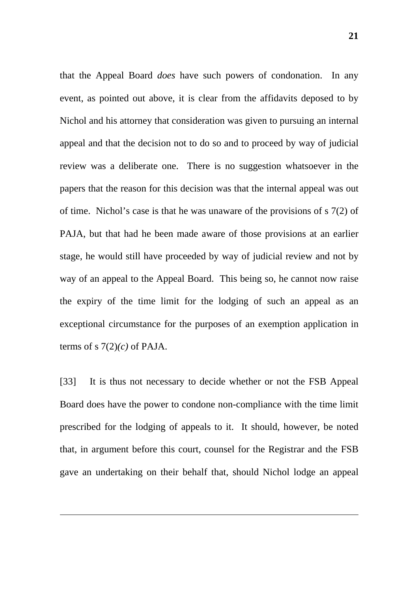that the Appeal Board *does* have such powers of condonation. In any event, as pointed out above, it is clear from the affidavits deposed to by Nichol and his attorney that consideration was given to pursuing an internal appeal and that the decision not to do so and to proceed by way of judicial review was a deliberate one. There is no suggestion whatsoever in the papers that the reason for this decision was that the internal appeal was out of time. Nichol's case is that he was unaware of the provisions of s 7(2) of PAJA, but that had he been made aware of those provisions at an earlier stage, he would still have proceeded by way of judicial review and not by way of an appeal to the Appeal Board. This being so, he cannot now raise the expiry of the time limit for the lodging of such an appeal as an exceptional circumstance for the purposes of an exemption application in terms of s  $7(2)(c)$  of PAJA.

[33] It is thus not necessary to decide whether or not the FSB Appeal Board does have the power to condone non-compliance with the time limit prescribed for the lodging of appeals to it. It should, however, be noted that, in argument before this court, counsel for the Registrar and the FSB gave an undertaking on their behalf that, should Nichol lodge an appeal

 $\overline{a}$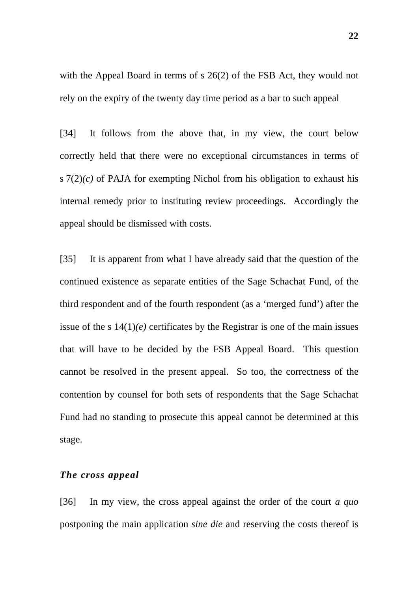with the Appeal Board in terms of s 26(2) of the FSB Act, they would not rely on the expiry of the twenty day time period as a bar to such appeal

[34] It follows from the above that, in my view, the court below correctly held that there were no exceptional circumstances in terms of s 7(2)*(c)* of PAJA for exempting Nichol from his obligation to exhaust his internal remedy prior to instituting review proceedings. Accordingly the appeal should be dismissed with costs.

[35] It is apparent from what I have already said that the question of the continued existence as separate entities of the Sage Schachat Fund, of the third respondent and of the fourth respondent (as a 'merged fund') after the issue of the s  $14(1)(e)$  certificates by the Registrar is one of the main issues that will have to be decided by the FSB Appeal Board. This question cannot be resolved in the present appeal. So too, the correctness of the contention by counsel for both sets of respondents that the Sage Schachat Fund had no standing to prosecute this appeal cannot be determined at this stage.

#### *The cross appeal*

[36] In my view, the cross appeal against the order of the court *a quo*  postponing the main application *sine die* and reserving the costs thereof is